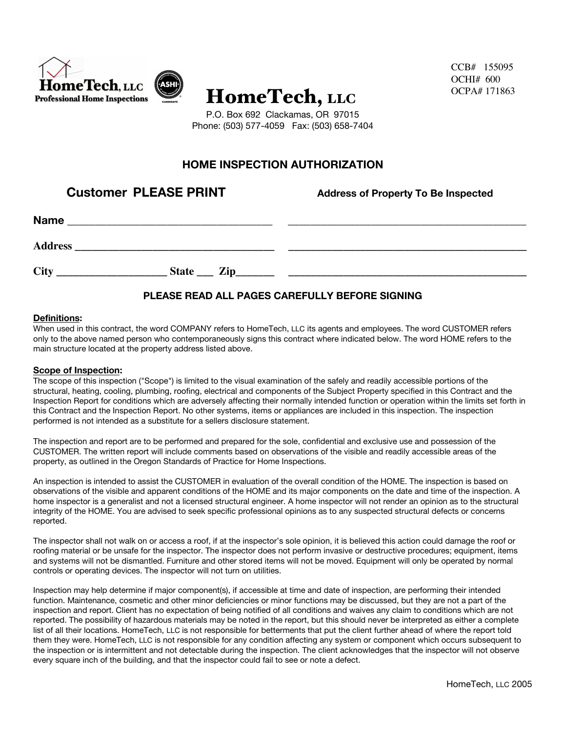

CCB# 155095 OCHI# 600 OCPA# 171863

P.O. Box 692 Clackamas, OR 97015 Phone: (503) 577-4059 Fax: (503) 658-7404

# **HOME INSPECTION AUTHORIZATION**

**Customer PLEASE PRINT** Address of Property To Be Inspected

| <b>Name</b>    |              |  |
|----------------|--------------|--|
| <b>Address</b> |              |  |
| City           | State __ Zip |  |

## **PLEASE READ ALL PAGES CAREFULLY BEFORE SIGNING**

#### **Definitions:**

When used in this contract, the word COMPANY refers to HomeTech, LLC its agents and employees. The word CUSTOMER refers only to the above named person who contemporaneously signs this contract where indicated below. The word HOME refers to the main structure located at the property address listed above.

#### **Scope of Inspection:**

The scope of this inspection ("Scope") is limited to the visual examination of the safely and readily accessible portions of the structural, heating, cooling, plumbing, roofing, electrical and components of the Subject Property specified in this Contract and the Inspection Report for conditions which are adversely affecting their normally intended function or operation within the limits set forth in this Contract and the Inspection Report. No other systems, items or appliances are included in this inspection. The inspection performed is not intended as a substitute for a sellers disclosure statement.

The inspection and report are to be performed and prepared for the sole, confidential and exclusive use and possession of the CUSTOMER. The written report will include comments based on observations of the visible and readily accessible areas of the property, as outlined in the Oregon Standards of Practice for Home Inspections.

An inspection is intended to assist the CUSTOMER in evaluation of the overall condition of the HOME. The inspection is based on observations of the visible and apparent conditions of the HOME and its major components on the date and time of the inspection. A home inspector is a generalist and not a licensed structural engineer. A home inspector will not render an opinion as to the structural integrity of the HOME. You are advised to seek specific professional opinions as to any suspected structural defects or concerns reported.

The inspector shall not walk on or access a roof, if at the inspector's sole opinion, it is believed this action could damage the roof or roofing material or be unsafe for the inspector. The inspector does not perform invasive or destructive procedures; equipment, items and systems will not be dismantled. Furniture and other stored items will not be moved. Equipment will only be operated by normal controls or operating devices. The inspector will not turn on utilities.

Inspection may help determine if major component(s), if accessible at time and date of inspection, are performing their intended function. Maintenance, cosmetic and other minor deficiencies or minor functions may be discussed, but they are not a part of the inspection and report. Client has no expectation of being notified of all conditions and waives any claim to conditions which are not reported. The possibility of hazardous materials may be noted in the report, but this should never be interpreted as either a complete list of all their locations. HomeTech, LLC is not responsible for betterments that put the client further ahead of where the report told them they were. HomeTech, LLC is not responsible for any condition affecting any system or component which occurs subsequent to the inspection or is intermittent and not detectable during the inspection. The client acknowledges that the inspector will not observe every square inch of the building, and that the inspector could fail to see or note a defect.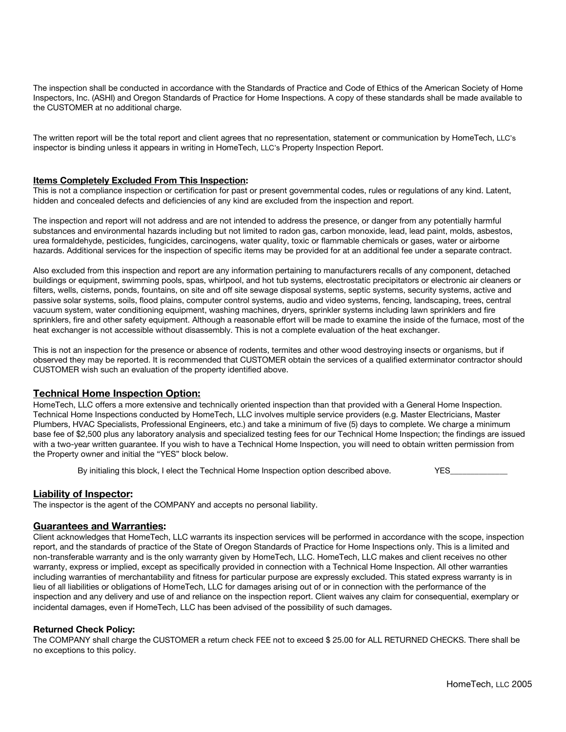The inspection shall be conducted in accordance with the Standards of Practice and Code of Ethics of the American Society of Home Inspectors, Inc. (ASHI) and Oregon Standards of Practice for Home Inspections. A copy of these standards shall be made available to the CUSTOMER at no additional charge.

The written report will be the total report and client agrees that no representation, statement or communication by HomeTech, LLC's inspector is binding unless it appears in writing in HomeTech, LLC's Property Inspection Report.

#### **Items Completely Excluded From This Inspection:**

This is not a compliance inspection or certification for past or present governmental codes, rules or regulations of any kind. Latent, hidden and concealed defects and deficiencies of any kind are excluded from the inspection and report.

The inspection and report will not address and are not intended to address the presence, or danger from any potentially harmful substances and environmental hazards including but not limited to radon gas, carbon monoxide, lead, lead paint, molds, asbestos, urea formaldehyde, pesticides, fungicides, carcinogens, water quality, toxic or flammable chemicals or gases, water or airborne hazards. Additional services for the inspection of specific items may be provided for at an additional fee under a separate contract.

Also excluded from this inspection and report are any information pertaining to manufacturers recalls of any component, detached buildings or equipment, swimming pools, spas, whirlpool, and hot tub systems, electrostatic precipitators or electronic air cleaners or filters, wells, cisterns, ponds, fountains, on site and off site sewage disposal systems, septic systems, security systems, active and passive solar systems, soils, flood plains, computer control systems, audio and video systems, fencing, landscaping, trees, central vacuum system, water conditioning equipment, washing machines, dryers, sprinkler systems including lawn sprinklers and fire sprinklers, fire and other safety equipment. Although a reasonable effort will be made to examine the inside of the furnace, most of the heat exchanger is not accessible without disassembly. This is not a complete evaluation of the heat exchanger.

This is not an inspection for the presence or absence of rodents, termites and other wood destroying insects or organisms, but if observed they may be reported. It is recommended that CUSTOMER obtain the services of a qualified exterminator contractor should CUSTOMER wish such an evaluation of the property identified above.

#### **Technical Home Inspection Option:**

HomeTech, LLC offers a more extensive and technically oriented inspection than that provided with a General Home Inspection. Technical Home Inspections conducted by HomeTech, LLC involves multiple service providers (e.g. Master Electricians, Master Plumbers, HVAC Specialists, Professional Engineers, etc.) and take a minimum of five (5) days to complete. We charge a minimum base fee of \$2,500 plus any laboratory analysis and specialized testing fees for our Technical Home Inspection; the findings are issued with a two-year written guarantee. If you wish to have a Technical Home Inspection, you will need to obtain written permission from the Property owner and initial the "YES" block below.

By initialing this block, I elect the Technical Home Inspection option described above. YES\_\_\_\_\_\_\_\_

#### **Liability of Inspector:**

The inspector is the agent of the COMPANY and accepts no personal liability.

#### **Guarantees and Warranties:**

Client acknowledges that HomeTech, LLC warrants its inspection services will be performed in accordance with the scope, inspection report, and the standards of practice of the State of Oregon Standards of Practice for Home Inspections only. This is a limited and non-transferable warranty and is the only warranty given by HomeTech, LLC. HomeTech, LLC makes and client receives no other warranty, express or implied, except as specifically provided in connection with a Technical Home Inspection. All other warranties including warranties of merchantability and fitness for particular purpose are expressly excluded. This stated express warranty is in lieu of all liabilities or obligations of HomeTech, LLC for damages arising out of or in connection with the performance of the inspection and any delivery and use of and reliance on the inspection report. Client waives any claim for consequential, exemplary or incidental damages, even if HomeTech, LLC has been advised of the possibility of such damages.

#### **Returned Check Policy:**

The COMPANY shall charge the CUSTOMER a return check FEE not to exceed \$ 25.00 for ALL RETURNED CHECKS. There shall be no exceptions to this policy.